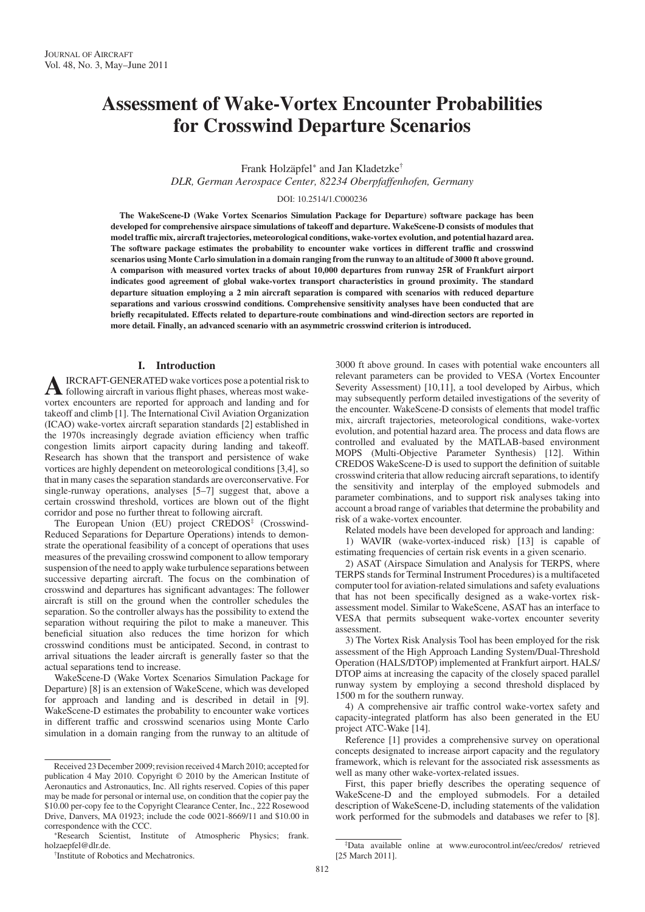# Assessment of Wake-Vortex Encounter Probabilities for Crosswind Departure Scenarios

Frank Holzäpfel<sup>∗</sup> and Jan Kladetzke†

DLR, German Aerospace Center, 82234 Oberpfaffenhofen, Germany

## DOI: 10.2514/1.C000236

The WakeScene-D (Wake Vortex Scenarios Simulation Package for Departure) software package has been developed for comprehensive airspace simulations of takeoff and departure. WakeScene-D consists of modules that model traffic mix, aircraft trajectories, meteorological conditions, wake-vortex evolution, and potential hazard area. The software package estimates the probability to encounter wake vortices in different traffic and crosswind scenarios using Monte Carlo simulation in a domain ranging from the runway to an altitude of 3000 ft above ground. A comparison with measured vortex tracks of about 10,000 departures from runway 25R of Frankfurt airport indicates good agreement of global wake-vortex transport characteristics in ground proximity. The standard departure situation employing a 2 min aircraft separation is compared with scenarios with reduced departure separations and various crosswind conditions. Comprehensive sensitivity analyses have been conducted that are briefly recapitulated. Effects related to departure-route combinations and wind-direction sectors are reported in more detail. Finally, an advanced scenario with an asymmetric crosswind criterion is introduced.

## I. Introduction

AIRCRAFT-GENERATED wake vortices pose a potential risk to following aircraft in various flight phases, whereas most wakevortex encounters are reported for approach and landing and for takeoff and climb [1]. The International Civil Aviation Organization (ICAO) wake-vortex aircraft separation standards [2] established in the 1970s increasingly degrade aviation efficiency when traffic congestion limits airport capacity during landing and takeoff. Research has shown that the transport and persistence of wake vortices are highly dependent on meteorological conditions [3,4], so that in many cases the separation standards are overconservative. For single-runway operations, analyses [5–7] suggest that, above a certain crosswind threshold, vortices are blown out of the flight corridor and pose no further threat to following aircraft.

The European Union (EU) project CREDOS<sup>‡</sup> (Crosswind-Reduced Separations for Departure Operations) intends to demonstrate the operational feasibility of a concept of operations that uses measures of the prevailing crosswind component to allow temporary suspension of the need to apply wake turbulence separations between successive departing aircraft. The focus on the combination of crosswind and departures has significant advantages: The follower aircraft is still on the ground when the controller schedules the separation. So the controller always has the possibility to extend the separation without requiring the pilot to make a maneuver. This beneficial situation also reduces the time horizon for which crosswind conditions must be anticipated. Second, in contrast to arrival situations the leader aircraft is generally faster so that the actual separations tend to increase.

WakeScene-D (Wake Vortex Scenarios Simulation Package for Departure) [8] is an extension of WakeScene, which was developed for approach and landing and is described in detail in [9]. WakeScene-D estimates the probability to encounter wake vortices in different traffic and crosswind scenarios using Monte Carlo simulation in a domain ranging from the runway to an altitude of 3000 ft above ground. In cases with potential wake encounters all relevant parameters can be provided to VESA (Vortex Encounter Severity Assessment) [10,11], a tool developed by Airbus, which may subsequently perform detailed investigations of the severity of the encounter. WakeScene-D consists of elements that model traffic mix, aircraft trajectories, meteorological conditions, wake-vortex evolution, and potential hazard area. The process and data flows are controlled and evaluated by the MATLAB-based environment MOPS (Multi-Objective Parameter Synthesis) [12]. Within CREDOS WakeScene-D is used to support the definition of suitable crosswind criteria that allow reducing aircraft separations, to identify the sensitivity and interplay of the employed submodels and parameter combinations, and to support risk analyses taking into account a broad range of variables that determine the probability and risk of a wake-vortex encounter.

Related models have been developed for approach and landing:

1) WAVIR (wake-vortex-induced risk) [13] is capable of estimating frequencies of certain risk events in a given scenario.

2) ASAT (Airspace Simulation and Analysis for TERPS, where TERPS stands for Terminal Instrument Procedures) is a multifaceted computer tool for aviation-related simulations and safety evaluations that has not been specifically designed as a wake-vortex riskassessment model. Similar to WakeScene, ASAT has an interface to VESA that permits subsequent wake-vortex encounter severity assessment.

3) The Vortex Risk Analysis Tool has been employed for the risk assessment of the High Approach Landing System/Dual-Threshold Operation (HALS/DTOP) implemented at Frankfurt airport. HALS/ DTOP aims at increasing the capacity of the closely spaced parallel runway system by employing a second threshold displaced by 1500 m for the southern runway.

4) A comprehensive air traffic control wake-vortex safety and capacity-integrated platform has also been generated in the EU project ATC-Wake [14].

Reference [1] provides a comprehensive survey on operational concepts designated to increase airport capacity and the regulatory framework, which is relevant for the associated risk assessments as well as many other wake-vortex-related issues.

First, this paper briefly describes the operating sequence of WakeScene-D and the employed submodels. For a detailed description of WakeScene-D, including statements of the validation work performed for the submodels and databases we refer to [8].

Received 23 December 2009; revision received 4 March 2010; accepted for publication 4 May 2010. Copyright © 2010 by the American Institute of Aeronautics and Astronautics, Inc. All rights reserved. Copies of this paper may be made for personal or internal use, on condition that the copier pay the \$10.00 per-copy fee to the Copyright Clearance Center, Inc., 222 Rosewood Drive, Danvers, MA 01923; include the code 0021-8669/11 and \$10.00 in correspondence with the CCC.

<sup>\*</sup>Research Scientist, Institute of Atmospheric Physics; frank. holzaepfel@dlr.de. †

<sup>&</sup>lt;sup>†</sup>Institute of Robotics and Mechatronics

<sup>‡</sup> Data available online at www.eurocontrol.int/eec/credos/ retrieved [25 March 2011].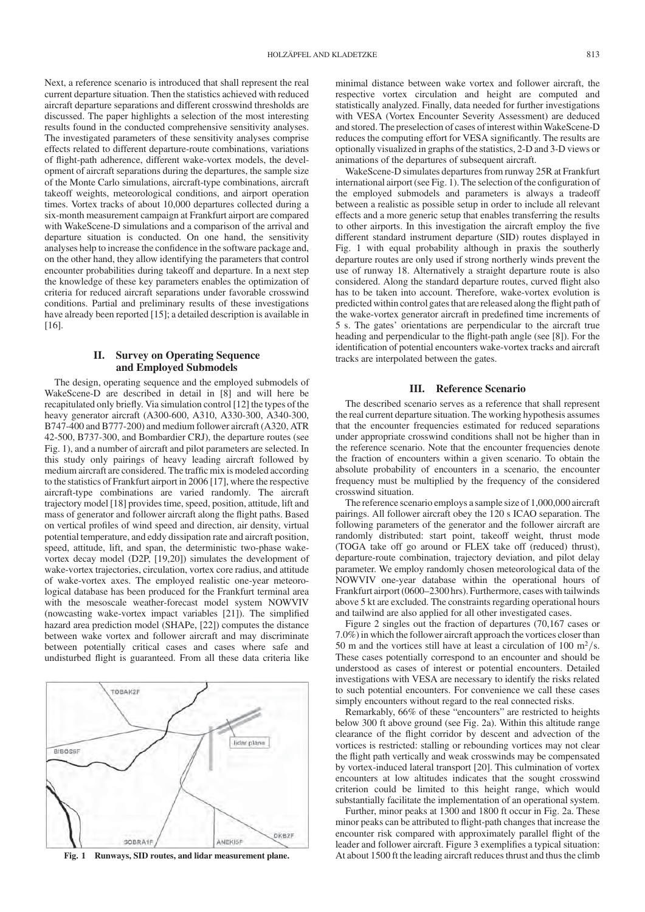Next, a reference scenario is introduced that shall represent the real current departure situation. Then the statistics achieved with reduced aircraft departure separations and different crosswind thresholds are discussed. The paper highlights a selection of the most interesting results found in the conducted comprehensive sensitivity analyses. The investigated parameters of these sensitivity analyses comprise effects related to different departure-route combinations, variations of flight-path adherence, different wake-vortex models, the development of aircraft separations during the departures, the sample size of the Monte Carlo simulations, aircraft-type combinations, aircraft takeoff weights, meteorological conditions, and airport operation times. Vortex tracks of about 10,000 departures collected during a six-month measurement campaign at Frankfurt airport are compared with WakeScene-D simulations and a comparison of the arrival and departure situation is conducted. On one hand, the sensitivity analyses help to increase the confidence in the software package and, on the other hand, they allow identifying the parameters that control encounter probabilities during takeoff and departure. In a next step the knowledge of these key parameters enables the optimization of criteria for reduced aircraft separations under favorable crosswind conditions. Partial and preliminary results of these investigations have already been reported [15]; a detailed description is available in [16].

# II. Survey on Operating Sequence and Employed Submodels

The design, operating sequence and the employed submodels of WakeScene-D are described in detail in [8] and will here be recapitulated only briefly. Via simulation control [12] the types of the heavy generator aircraft (A300-600, A310, A330-300, A340-300, B747-400 and B777-200) and medium follower aircraft (A320, ATR 42-500, B737-300, and Bombardier CRJ), the departure routes (see Fig. 1), and a number of aircraft and pilot parameters are selected. In this study only pairings of heavy leading aircraft followed by medium aircraft are considered. The traffic mix is modeled according to the statistics of Frankfurt airport in 2006 [17], where the respective aircraft-type combinations are varied randomly. The aircraft trajectory model [18] provides time, speed, position, attitude, lift and mass of generator and follower aircraft along the flight paths. Based on vertical profiles of wind speed and direction, air density, virtual potential temperature, and eddy dissipation rate and aircraft position, speed, attitude, lift, and span, the deterministic two-phase wakevortex decay model (D2P, [19,20]) simulates the development of wake-vortex trajectories, circulation, vortex core radius, and attitude of wake-vortex axes. The employed realistic one-year meteorological database has been produced for the Frankfurt terminal area with the mesoscale weather-forecast model system NOWVIV (nowcasting wake-vortex impact variables [21]). The simplified hazard area prediction model (SHAPe, [22]) computes the distance between wake vortex and follower aircraft and may discriminate between potentially critical cases and cases where safe and undisturbed flight is guaranteed. From all these data criteria like



minimal distance between wake vortex and follower aircraft, the respective vortex circulation and height are computed and statistically analyzed. Finally, data needed for further investigations with VESA (Vortex Encounter Severity Assessment) are deduced and stored. The preselection of cases of interest within WakeScene-D reduces the computing effort for VESA significantly. The results are optionally visualized in graphs of the statistics, 2-D and 3-D views or animations of the departures of subsequent aircraft.

WakeScene-D simulates departures from runway 25R at Frankfurt international airport (see Fig. 1). The selection of the configuration of the employed submodels and parameters is always a tradeoff between a realistic as possible setup in order to include all relevant effects and a more generic setup that enables transferring the results to other airports. In this investigation the aircraft employ the five different standard instrument departure (SID) routes displayed in Fig. 1 with equal probability although in praxis the southerly departure routes are only used if strong northerly winds prevent the use of runway 18. Alternatively a straight departure route is also considered. Along the standard departure routes, curved flight also has to be taken into account. Therefore, wake-vortex evolution is predicted within control gates that are released along the flight path of the wake-vortex generator aircraft in predefined time increments of 5 s. The gates' orientations are perpendicular to the aircraft true heading and perpendicular to the flight-path angle (see [8]). For the identification of potential encounters wake-vortex tracks and aircraft tracks are interpolated between the gates.

## III. Reference Scenario

The described scenario serves as a reference that shall represent the real current departure situation. The working hypothesis assumes that the encounter frequencies estimated for reduced separations under appropriate crosswind conditions shall not be higher than in the reference scenario. Note that the encounter frequencies denote the fraction of encounters within a given scenario. To obtain the absolute probability of encounters in a scenario, the encounter frequency must be multiplied by the frequency of the considered crosswind situation.

The reference scenario employs a sample size of 1,000,000 aircraft pairings. All follower aircraft obey the 120 s ICAO separation. The following parameters of the generator and the follower aircraft are randomly distributed: start point, takeoff weight, thrust mode (TOGA take off go around or FLEX take off (reduced) thrust), departure-route combination, trajectory deviation, and pilot delay parameter. We employ randomly chosen meteorological data of the NOWVIV one-year database within the operational hours of Frankfurt airport (0600–2300 hrs). Furthermore, cases with tailwinds above 5 kt are excluded. The constraints regarding operational hours and tailwind are also applied for all other investigated cases.

Figure 2 singles out the fraction of departures (70,167 cases or 7.0%) in which the follower aircraft approach the vortices closer than 50 m and the vortices still have at least a circulation of 100 m<sup>2</sup>/s. These cases potentially correspond to an encounter and should be understood as cases of interest or potential encounters. Detailed investigations with VESA are necessary to identify the risks related to such potential encounters. For convenience we call these cases simply encounters without regard to the real connected risks.

Remarkably, 66% of these "encounters" are restricted to heights below 300 ft above ground (see Fig. 2a). Within this altitude range clearance of the flight corridor by descent and advection of the vortices is restricted: stalling or rebounding vortices may not clear the flight path vertically and weak crosswinds may be compensated by vortex-induced lateral transport [20]. This culmination of vortex encounters at low altitudes indicates that the sought crosswind criterion could be limited to this height range, which would substantially facilitate the implementation of an operational system.

Further, minor peaks at 1300 and 1800 ft occur in Fig. 2a. These minor peaks can be attributed to flight-path changes that increase the encounter risk compared with approximately parallel flight of the leader and follower aircraft. Figure 3 exemplifies a typical situation: Fig. 1 Runways, SID routes, and lidar measurement plane. At about 1500 ft the leading aircraft reduces thrust and thus the climb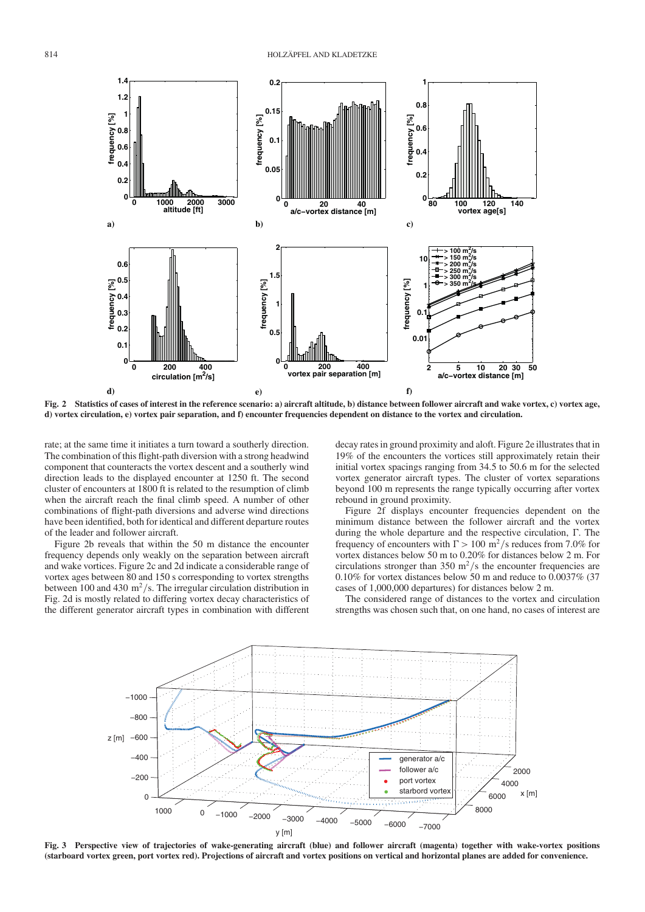

Fig. 2 Statistics of cases of interest in the reference scenario: a) aircraft altitude, b) distance between follower aircraft and wake vortex, c) vortex age, d) vortex circulation, e) vortex pair separation, and f) encounter frequencies dependent on distance to the vortex and circulation.

rate; at the same time it initiates a turn toward a southerly direction. The combination of this flight-path diversion with a strong headwind component that counteracts the vortex descent and a southerly wind direction leads to the displayed encounter at 1250 ft. The second cluster of encounters at 1800 ft is related to the resumption of climb when the aircraft reach the final climb speed. A number of other combinations of flight-path diversions and adverse wind directions have been identified, both for identical and different departure routes of the leader and follower aircraft.

Figure 2b reveals that within the 50 m distance the encounter frequency depends only weakly on the separation between aircraft and wake vortices. Figure 2c and 2d indicate a considerable range of vortex ages between 80 and 150 s corresponding to vortex strengths between 100 and 430 m<sup>2</sup>/s. The irregular circulation distribution in Fig. 2d is mostly related to differing vortex decay characteristics of the different generator aircraft types in combination with different

decay rates in ground proximity and aloft. Figure 2e illustrates that in 19% of the encounters the vortices still approximately retain their initial vortex spacings ranging from 34.5 to 50.6 m for the selected vortex generator aircraft types. The cluster of vortex separations beyond 100 m represents the range typically occurring after vortex rebound in ground proximity.

Figure 2f displays encounter frequencies dependent on the minimum distance between the follower aircraft and the vortex during the whole departure and the respective circulation,  $\Gamma$ . The frequency of encounters with  $\Gamma > 100 \text{ m}^2/\text{s}$  reduces from 7.0% for vortex distances below 50 m to 0.20% for distances below 2 m. For circulations stronger than 350 m<sup>2</sup>/s the encounter frequencies are 0.10% for vortex distances below 50 m and reduce to 0.0037% (37 cases of 1,000,000 departures) for distances below 2 m.

The considered range of distances to the vortex and circulation strengths was chosen such that, on one hand, no cases of interest are



Fig. 3 Perspective view of trajectories of wake-generating aircraft (blue) and follower aircraft (magenta) together with wake-vortex positions (starboard vortex green, port vortex red). Projections of aircraft and vortex positions on vertical and horizontal planes are added for convenience.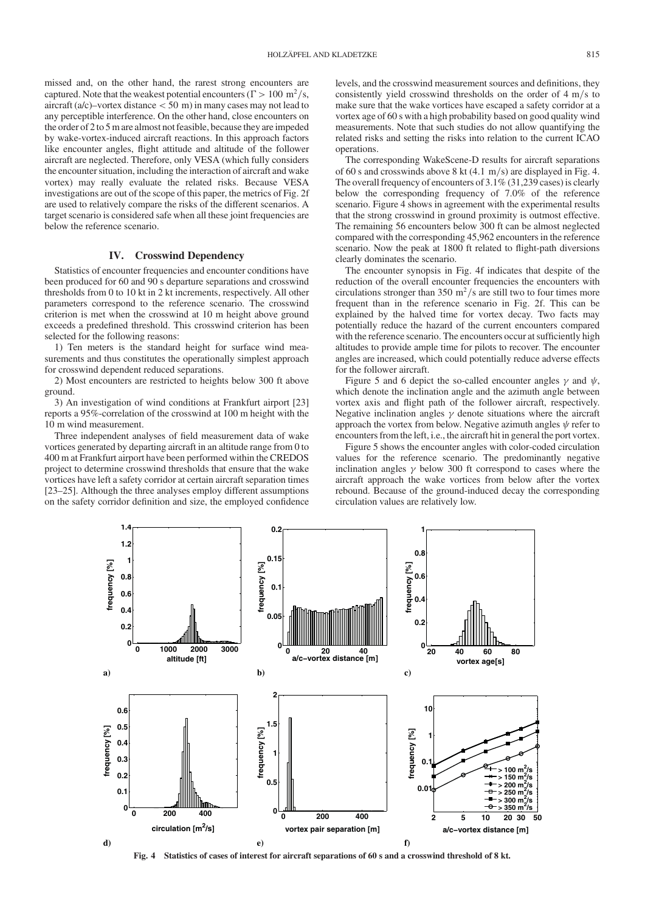missed and, on the other hand, the rarest strong encounters are captured. Note that the weakest potential encounters ( $\Gamma > 100 \text{ m}^2/\text{s}$ , aircraft ( $a/c$ )–vortex distance  $<$  50 m) in many cases may not lead to any perceptible interference. On the other hand, close encounters on the order of 2 to 5 m are almost not feasible, because they are impeded by wake-vortex-induced aircraft reactions. In this approach factors like encounter angles, flight attitude and altitude of the follower aircraft are neglected. Therefore, only VESA (which fully considers the encounter situation, including the interaction of aircraft and wake vortex) may really evaluate the related risks. Because VESA investigations are out of the scope of this paper, the metrics of Fig. 2f are used to relatively compare the risks of the different scenarios. A target scenario is considered safe when all these joint frequencies are below the reference scenario.

# IV. Crosswind Dependency

Statistics of encounter frequencies and encounter conditions have been produced for 60 and 90 s departure separations and crosswind thresholds from 0 to 10 kt in 2 kt increments, respectively. All other parameters correspond to the reference scenario. The crosswind criterion is met when the crosswind at 10 m height above ground exceeds a predefined threshold. This crosswind criterion has been selected for the following reasons:

1) Ten meters is the standard height for surface wind measurements and thus constitutes the operationally simplest approach for crosswind dependent reduced separations.

2) Most encounters are restricted to heights below 300 ft above ground.

3) An investigation of wind conditions at Frankfurt airport [23] reports a 95%-correlation of the crosswind at 100 m height with the 10 m wind measurement.

Three independent analyses of field measurement data of wake vortices generated by departing aircraft in an altitude range from 0 to 400 m at Frankfurt airport have been performed within the CREDOS project to determine crosswind thresholds that ensure that the wake vortices have left a safety corridor at certain aircraft separation times [23–25]. Although the three analyses employ different assumptions on the safety corridor definition and size, the employed confidence

levels, and the crosswind measurement sources and definitions, they consistently yield crosswind thresholds on the order of  $4 \text{ m/s}$  to make sure that the wake vortices have escaped a safety corridor at a vortex age of 60 s with a high probability based on good quality wind measurements. Note that such studies do not allow quantifying the related risks and setting the risks into relation to the current ICAO operations.

The corresponding WakeScene-D results for aircraft separations of 60 s and crosswinds above 8 kt  $(4.1 \text{ m/s})$  are displayed in Fig. 4. The overall frequency of encounters of  $3.1\%$  (31,239 cases) is clearly below the corresponding frequency of 7.0% of the reference scenario. Figure 4 shows in agreement with the experimental results that the strong crosswind in ground proximity is outmost effective. The remaining 56 encounters below 300 ft can be almost neglected compared with the corresponding 45,962 encounters in the reference scenario. Now the peak at 1800 ft related to flight-path diversions clearly dominates the scenario.

The encounter synopsis in Fig. 4f indicates that despite of the reduction of the overall encounter frequencies the encounters with circulations stronger than 350 m<sup>2</sup>/s are still two to four times more frequent than in the reference scenario in Fig. 2f. This can be explained by the halved time for vortex decay. Two facts may potentially reduce the hazard of the current encounters compared with the reference scenario. The encounters occur at sufficiently high altitudes to provide ample time for pilots to recover. The encounter angles are increased, which could potentially reduce adverse effects for the follower aircraft.

Figure 5 and 6 depict the so-called encounter angles  $\gamma$  and  $\psi$ , which denote the inclination angle and the azimuth angle between vortex axis and flight path of the follower aircraft, respectively. Negative inclination angles  $\gamma$  denote situations where the aircraft approach the vortex from below. Negative azimuth angles  $\psi$  refer to encounters from the left, i.e., the aircraft hit in general the port vortex.

Figure 5 shows the encounter angles with color-coded circulation values for the reference scenario. The predominantly negative inclination angles  $\gamma$  below 300 ft correspond to cases where the aircraft approach the wake vortices from below after the vortex rebound. Because of the ground-induced decay the corresponding circulation values are relatively low.



Fig. 4 Statistics of cases of interest for aircraft separations of 60 s and a crosswind threshold of 8 kt.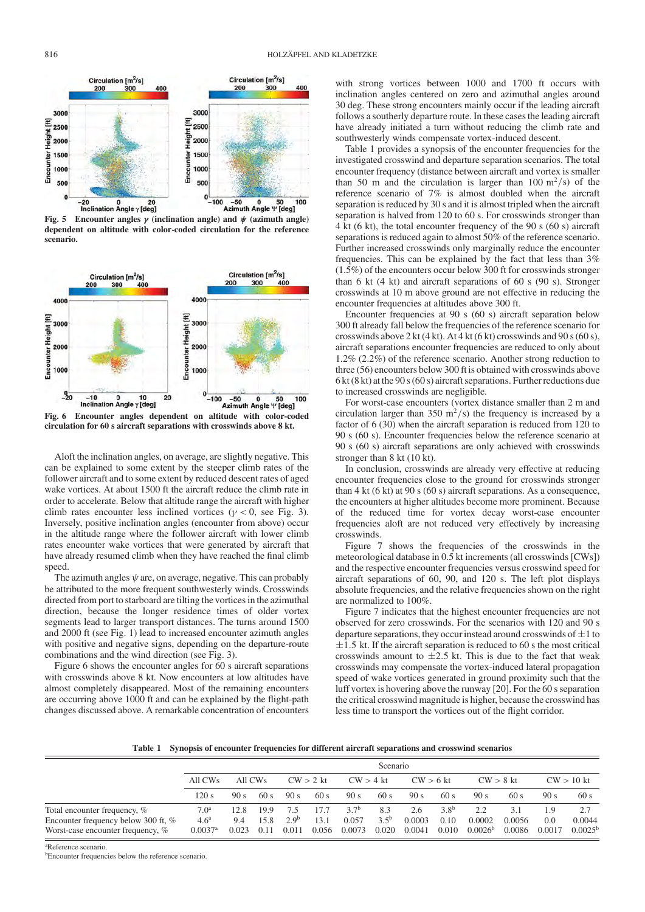

Fig. 5 Encounter angles  $\gamma$  (inclination angle) and  $\psi$  (azimuth angle) dependent on altitude with color-coded circulation for the reference scenario.



Fig. 6 Encounter angles dependent on altitude with color-coded circulation for 60 s aircraft separations with crosswinds above 8 kt.

Aloft the inclination angles, on average, are slightly negative. This can be explained to some extent by the steeper climb rates of the follower aircraft and to some extent by reduced descent rates of aged wake vortices. At about 1500 ft the aircraft reduce the climb rate in order to accelerate. Below that altitude range the aircraft with higher climb rates encounter less inclined vortices ( $\gamma$  < 0, see Fig. 3). Inversely, positive inclination angles (encounter from above) occur in the altitude range where the follower aircraft with lower climb rates encounter wake vortices that were generated by aircraft that have already resumed climb when they have reached the final climb speed.

The azimuth angles  $\psi$  are, on average, negative. This can probably be attributed to the more frequent southwesterly winds. Crosswinds directed from port to starboard are tilting the vortices in the azimuthal direction, because the longer residence times of older vortex segments lead to larger transport distances. The turns around 1500 and 2000 ft (see Fig. 1) lead to increased encounter azimuth angles with positive and negative signs, depending on the departure-route combinations and the wind direction (see Fig. 3).

Figure 6 shows the encounter angles for 60 s aircraft separations with crosswinds above 8 kt. Now encounters at low altitudes have almost completely disappeared. Most of the remaining encounters are occurring above 1000 ft and can be explained by the flight-path changes discussed above. A remarkable concentration of encounters with strong vortices between 1000 and 1700 ft occurs with inclination angles centered on zero and azimuthal angles around 30 deg. These strong encounters mainly occur if the leading aircraft follows a southerly departure route. In these cases the leading aircraft have already initiated a turn without reducing the climb rate and southwesterly winds compensate vortex-induced descent.

Table 1 provides a synopsis of the encounter frequencies for the investigated crosswind and departure separation scenarios. The total encounter frequency (distance between aircraft and vortex is smaller than 50 m and the circulation is larger than 100  $\text{m}^2/\text{s}$ ) of the reference scenario of 7% is almost doubled when the aircraft separation is reduced by 30 s and it is almost tripled when the aircraft separation is halved from 120 to 60 s. For crosswinds stronger than 4 kt (6 kt), the total encounter frequency of the 90 s (60 s) aircraft separations is reduced again to almost 50% of the reference scenario. Further increased crosswinds only marginally reduce the encounter frequencies. This can be explained by the fact that less than 3%  $(1.5\%)$  of the encounters occur below 300 ft for crosswinds stronger than 6 kt (4 kt) and aircraft separations of 60 s (90 s). Stronger crosswinds at 10 m above ground are not effective in reducing the encounter frequencies at altitudes above 300 ft.

Encounter frequencies at 90 s (60 s) aircraft separation below 300 ft already fall below the frequencies of the reference scenario for crosswinds above 2 kt (4 kt). At 4 kt (6 kt) crosswinds and 90 s (60 s), aircraft separations encounter frequencies are reduced to only about 1.2% (2.2%) of the reference scenario. Another strong reduction to three (56) encounters below 300 ft is obtained with crosswinds above 6 kt (8 kt) at the 90 s (60 s) aircraft separations. Further reductions due to increased crosswinds are negligible.

For worst-case encounters (vortex distance smaller than 2 m and circulation larger than 350 m<sup>2</sup>/s) the frequency is increased by a factor of 6 (30) when the aircraft separation is reduced from 120 to 90 s (60 s). Encounter frequencies below the reference scenario at 90 s (60 s) aircraft separations are only achieved with crosswinds stronger than 8 kt (10 kt).

In conclusion, crosswinds are already very effective at reducing encounter frequencies close to the ground for crosswinds stronger than 4 kt (6 kt) at 90 s (60 s) aircraft separations. As a consequence, the encounters at higher altitudes become more prominent. Because of the reduced time for vortex decay worst-case encounter frequencies aloft are not reduced very effectively by increasing crosswinds.

Figure 7 shows the frequencies of the crosswinds in the meteorological database in 0.5 kt increments (all crosswinds [CWs]) and the respective encounter frequencies versus crosswind speed for aircraft separations of 60, 90, and 120 s. The left plot displays absolute frequencies, and the relative frequencies shown on the right are normalized to 100%.

Figure 7 indicates that the highest encounter frequencies are not observed for zero crosswinds. For the scenarios with 120 and 90 s departure separations, they occur instead around crosswinds of  $\pm 1$  to  $\pm$ 1.5 kt. If the aircraft separation is reduced to 60 s the most critical crosswinds amount to  $\pm 2.5$  kt. This is due to the fact that weak crosswinds may compensate the vortex-induced lateral propagation speed of wake vortices generated in ground proximity such that the luff vortex is hovering above the runway [20]. For the 60 s separation the critical crosswind magnitude is higher, because the crosswind has less time to transport the vortices out of the flight corridor.

Table 1 Synopsis of encounter frequencies for different aircraft separations and crosswind scenarios

|                                                                                                          | Scenario                                                      |                      |                      |                                  |                       |                                     |                           |                         |                            |                                     |                         |                      |                            |
|----------------------------------------------------------------------------------------------------------|---------------------------------------------------------------|----------------------|----------------------|----------------------------------|-----------------------|-------------------------------------|---------------------------|-------------------------|----------------------------|-------------------------------------|-------------------------|----------------------|----------------------------|
|                                                                                                          | All CWs                                                       | All CWs              |                      | $CW > 2$ kt                      |                       | $CW > 4$ kt                         |                           | $CW > 6$ kt             |                            | $CW > 8$ kt                         |                         | $CW > 10$ kt         |                            |
|                                                                                                          | 120 s                                                         | 90 s                 | 60 s                 | 90 s                             | 60 s                  | 90 s                                | 60s                       | 90 s                    | 60s                        | 90 s                                | 60 s                    | 90 s                 | 60 s                       |
| Total encounter frequency, %<br>Encounter frequency below 300 ft, %<br>Worst-case encounter frequency, % | 7.0 <sup>a</sup><br>4.6 <sup>a</sup><br>$0.0037$ <sup>a</sup> | 12.8<br>9.4<br>0.023 | 19.9<br>15.8<br>0.11 | 7.5<br>2.9 <sup>b</sup><br>0.011 | 17.7<br>13.1<br>0.056 | 3.7 <sup>b</sup><br>0.057<br>0.0073 | 8.3<br>$3.5^{b}$<br>0.020 | 2.6<br>0.0003<br>0.0041 | $3.8^{b}$<br>0.10<br>0.010 | 22<br>0.0002<br>0.0026 <sup>b</sup> | 3.1<br>0.0056<br>0.0086 | 1.9<br>0.0<br>0.0017 | 0.0044<br>$0.0025^{\rm t}$ |

a Reference scenario.

b Encounter frequencies below the reference scenario.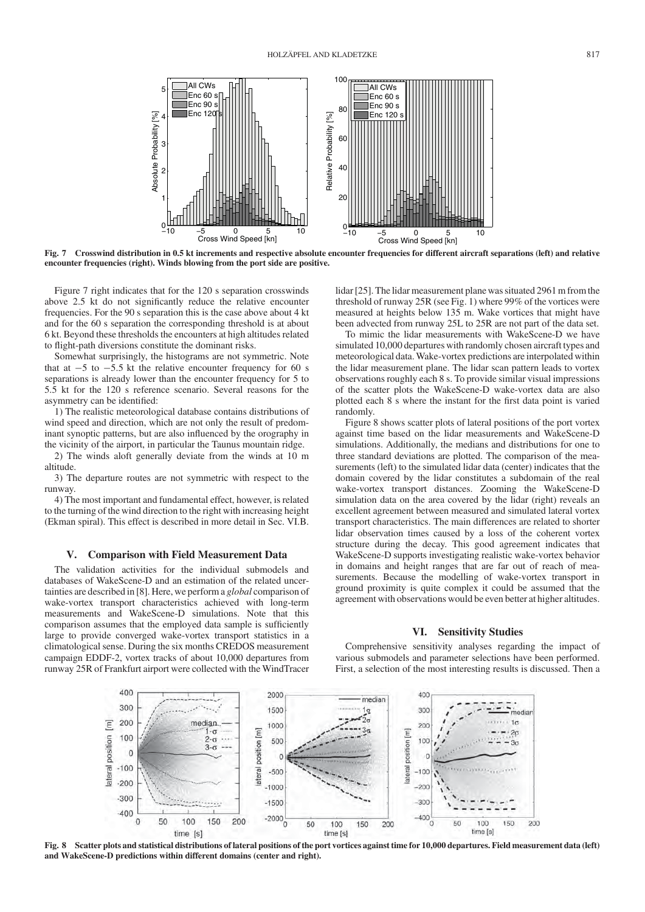

Fig. 7 Crosswind distribution in 0.5 kt increments and respective absolute encounter frequencies for different aircraft separations (left) and relative encounter frequencies (right). Winds blowing from the port side are positive.

Figure 7 right indicates that for the 120 s separation crosswinds above 2.5 kt do not significantly reduce the relative encounter frequencies. For the 90 s separation this is the case above about 4 kt and for the 60 s separation the corresponding threshold is at about 6 kt. Beyond these thresholds the encounters at high altitudes related to flight-path diversions constitute the dominant risks.

Somewhat surprisingly, the histograms are not symmetric. Note that at  $-5$  to  $-5.5$  kt the relative encounter frequency for 60 s separations is already lower than the encounter frequency for 5 to 5.5 kt for the 120 s reference scenario. Several reasons for the asymmetry can be identified:

1) The realistic meteorological database contains distributions of wind speed and direction, which are not only the result of predominant synoptic patterns, but are also influenced by the orography in the vicinity of the airport, in particular the Taunus mountain ridge.

2) The winds aloft generally deviate from the winds at 10 m altitude.

3) The departure routes are not symmetric with respect to the runway.

4) The most important and fundamental effect, however, is related to the turning of the wind direction to the right with increasing height (Ekman spiral). This effect is described in more detail in Sec. VI.B.

#### V. Comparison with Field Measurement Data

The validation activities for the individual submodels and databases of WakeScene-D and an estimation of the related uncertainties are described in [8]. Here, we perform a global comparison of wake-vortex transport characteristics achieved with long-term measurements and WakeScene-D simulations. Note that this comparison assumes that the employed data sample is sufficiently large to provide converged wake-vortex transport statistics in a climatological sense. During the six months CREDOS measurement campaign EDDF-2, vortex tracks of about 10,000 departures from runway 25R of Frankfurt airport were collected with the WindTracer

lidar [25]. The lidar measurement plane was situated 2961 m from the threshold of runway 25R (see Fig. 1) where 99% of the vortices were measured at heights below 135 m. Wake vortices that might have been advected from runway 25L to 25R are not part of the data set.

To mimic the lidar measurements with WakeScene-D we have simulated 10,000 departures with randomly chosen aircraft types and meteorological data.Wake-vortex predictions are interpolated within the lidar measurement plane. The lidar scan pattern leads to vortex observations roughly each 8 s. To provide similar visual impressions of the scatter plots the WakeScene-D wake-vortex data are also plotted each 8 s where the instant for the first data point is varied randomly.

Figure 8 shows scatter plots of lateral positions of the port vortex against time based on the lidar measurements and WakeScene-D simulations. Additionally, the medians and distributions for one to three standard deviations are plotted. The comparison of the measurements (left) to the simulated lidar data (center) indicates that the domain covered by the lidar constitutes a subdomain of the real wake-vortex transport distances. Zooming the WakeScene-D simulation data on the area covered by the lidar (right) reveals an excellent agreement between measured and simulated lateral vortex transport characteristics. The main differences are related to shorter lidar observation times caused by a loss of the coherent vortex structure during the decay. This good agreement indicates that WakeScene-D supports investigating realistic wake-vortex behavior in domains and height ranges that are far out of reach of measurements. Because the modelling of wake-vortex transport in ground proximity is quite complex it could be assumed that the agreement with observations would be even better at higher altitudes.

#### VI. Sensitivity Studies

Comprehensive sensitivity analyses regarding the impact of various submodels and parameter selections have been performed. First, a selection of the most interesting results is discussed. Then a



Fig. 8 Scatter plots and statistical distributions of lateral positions of the port vortices against time for 10,000 departures. Field measurement data (left) and WakeScene-D predictions within different domains (center and right).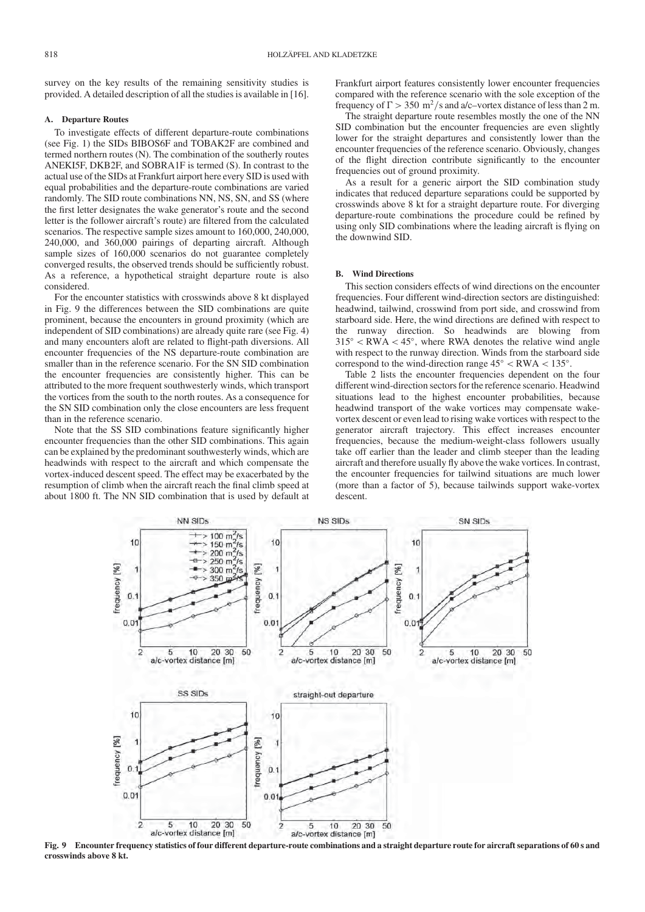survey on the key results of the remaining sensitivity studies is provided. A detailed description of all the studies is available in [16].

## A. Departure Routes

To investigate effects of different departure-route combinations (see Fig. 1) the SIDs BIBOS6F and TOBAK2F are combined and termed northern routes (N). The combination of the southerly routes ANEKI5F, DKB2F, and SOBRA1F is termed (S). In contrast to the actual use of the SIDs at Frankfurt airport here every SID is used with equal probabilities and the departure-route combinations are varied randomly. The SID route combinations NN, NS, SN, and SS (where the first letter designates the wake generator's route and the second letter is the follower aircraft's route) are filtered from the calculated scenarios. The respective sample sizes amount to 160,000, 240,000, 240,000, and 360,000 pairings of departing aircraft. Although sample sizes of 160,000 scenarios do not guarantee completely converged results, the observed trends should be sufficiently robust. As a reference, a hypothetical straight departure route is also considered.

For the encounter statistics with crosswinds above 8 kt displayed in Fig. 9 the differences between the SID combinations are quite prominent, because the encounters in ground proximity (which are independent of SID combinations) are already quite rare (see Fig. 4) and many encounters aloft are related to flight-path diversions. All encounter frequencies of the NS departure-route combination are smaller than in the reference scenario. For the SN SID combination the encounter frequencies are consistently higher. This can be attributed to the more frequent southwesterly winds, which transport the vortices from the south to the north routes. As a consequence for the SN SID combination only the close encounters are less frequent than in the reference scenario.

Note that the SS SID combinations feature significantly higher encounter frequencies than the other SID combinations. This again can be explained by the predominant southwesterly winds, which are headwinds with respect to the aircraft and which compensate the vortex-induced descent speed. The effect may be exacerbated by the resumption of climb when the aircraft reach the final climb speed at about 1800 ft. The NN SID combination that is used by default at Frankfurt airport features consistently lower encounter frequencies compared with the reference scenario with the sole exception of the frequency of  $\Gamma > 350 \text{ m}^2/\text{s}$  and a/c–vortex distance of less than 2 m.

The straight departure route resembles mostly the one of the NN SID combination but the encounter frequencies are even slightly lower for the straight departures and consistently lower than the encounter frequencies of the reference scenario. Obviously, changes of the flight direction contribute significantly to the encounter frequencies out of ground proximity.

As a result for a generic airport the SID combination study indicates that reduced departure separations could be supported by crosswinds above 8 kt for a straight departure route. For diverging departure-route combinations the procedure could be refined by using only SID combinations where the leading aircraft is flying on the downwind SID.

## B. Wind Directions

This section considers effects of wind directions on the encounter frequencies. Four different wind-direction sectors are distinguished: headwind, tailwind, crosswind from port side, and crosswind from starboard side. Here, the wind directions are defined with respect to the runway direction. So headwinds are blowing from  $315^{\circ}$  < RWA < 45°, where RWA denotes the relative wind angle with respect to the runway direction. Winds from the starboard side correspond to the wind-direction range  $45^{\circ} < RWA < 135^{\circ}$ .

Table 2 lists the encounter frequencies dependent on the four different wind-direction sectors for the reference scenario. Headwind situations lead to the highest encounter probabilities, because headwind transport of the wake vortices may compensate wakevortex descent or even lead to rising wake vortices with respect to the generator aircraft trajectory. This effect increases encounter frequencies, because the medium-weight-class followers usually take off earlier than the leader and climb steeper than the leading aircraft and therefore usually fly above the wake vortices. In contrast, the encounter frequencies for tailwind situations are much lower (more than a factor of 5), because tailwinds support wake-vortex descent.



Fig. 9 Encounter frequency statistics of four different departure-route combinations and a straight departure route for aircraft separations of 60 s and crosswinds above 8 kt.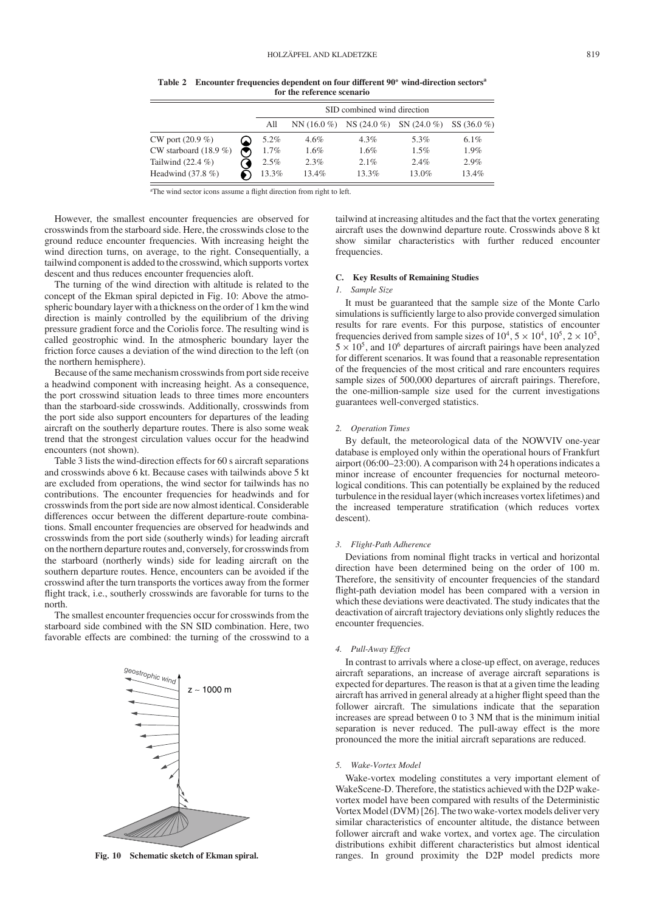|                         | SID combined wind direction |              |                               |          |                |  |  |  |  |
|-------------------------|-----------------------------|--------------|-------------------------------|----------|----------------|--|--|--|--|
|                         | All                         | $NN(16.0\%)$ | $NS (24.0 \%)$ $SN (24.0 \%)$ |          | SS $(36.0\% )$ |  |  |  |  |
| CW port $(20.9\%)$      | 5.2%                        | $4.6\%$      | $4.3\%$                       | 5.3%     | 6.1%           |  |  |  |  |
| CW starboard $(18.9\%)$ | $1.7\%$                     | 1.6%         | $1.6\%$                       | $1.5\%$  | 1.9%           |  |  |  |  |
| Tailwind $(22.4\% )$    | 2.5%                        | 2.3%         | $2.1\%$                       | $2.4\%$  | 2.9%           |  |  |  |  |
| Headwind $(37.8\%)$     | 13.3%                       | $13.4\%$     | $13.3\%$                      | $13.0\%$ | $13.4\%$       |  |  |  |  |

Table 2 Encounter frequencies dependent on four different 90° wind-direction sectors<sup>a</sup> for the reference scenario

<sup>a</sup>The wind sector icons assume a flight direction from right to left.

However, the smallest encounter frequencies are observed for crosswinds from the starboard side. Here, the crosswinds close to the ground reduce encounter frequencies. With increasing height the wind direction turns, on average, to the right. Consequentially, a tailwind component is added to the crosswind, which supports vortex descent and thus reduces encounter frequencies aloft.

The turning of the wind direction with altitude is related to the concept of the Ekman spiral depicted in Fig. 10: Above the atmospheric boundary layer with a thickness on the order of 1 km the wind direction is mainly controlled by the equilibrium of the driving pressure gradient force and the Coriolis force. The resulting wind is called geostrophic wind. In the atmospheric boundary layer the friction force causes a deviation of the wind direction to the left (on the northern hemisphere).

Because of the same mechanism crosswinds from port side receive a headwind component with increasing height. As a consequence, the port crosswind situation leads to three times more encounters than the starboard-side crosswinds. Additionally, crosswinds from the port side also support encounters for departures of the leading aircraft on the southerly departure routes. There is also some weak trend that the strongest circulation values occur for the headwind encounters (not shown).

Table 3 lists the wind-direction effects for 60 s aircraft separations and crosswinds above 6 kt. Because cases with tailwinds above 5 kt are excluded from operations, the wind sector for tailwinds has no contributions. The encounter frequencies for headwinds and for crosswinds from the port side are now almost identical. Considerable differences occur between the different departure-route combinations. Small encounter frequencies are observed for headwinds and crosswinds from the port side (southerly winds) for leading aircraft on the northern departure routes and, conversely, for crosswinds from the starboard (northerly winds) side for leading aircraft on the southern departure routes. Hence, encounters can be avoided if the crosswind after the turn transports the vortices away from the former flight track, i.e., southerly crosswinds are favorable for turns to the north.

The smallest encounter frequencies occur for crosswinds from the starboard side combined with the SN SID combination. Here, two favorable effects are combined: the turning of the crosswind to a



Fig. 10 Schematic sketch of Ekman spiral.

tailwind at increasing altitudes and the fact that the vortex generating aircraft uses the downwind departure route. Crosswinds above 8 kt show similar characteristics with further reduced encounter frequencies.

## C. Key Results of Remaining Studies

#### 1. Sample Size

It must be guaranteed that the sample size of the Monte Carlo simulations is sufficiently large to also provide converged simulation results for rare events. For this purpose, statistics of encounter frequencies derived from sample sizes of  $10^4$ ,  $5 \times 10^4$ ,  $10^5$ ,  $2 \times 10^5$ ,  $5 \times 10^5$ , and 10<sup>6</sup> departures of aircraft pairings have been analyzed for different scenarios. It was found that a reasonable representation of the frequencies of the most critical and rare encounters requires sample sizes of 500,000 departures of aircraft pairings. Therefore, the one-million-sample size used for the current investigations guarantees well-converged statistics.

#### 2. Operation Times

By default, the meteorological data of the NOWVIV one-year database is employed only within the operational hours of Frankfurt airport (06:00–23:00). A comparison with 24 h operations indicates a minor increase of encounter frequencies for nocturnal meteorological conditions. This can potentially be explained by the reduced turbulence in the residual layer (which increases vortex lifetimes) and the increased temperature stratification (which reduces vortex descent).

## 3. Flight-Path Adherence

Deviations from nominal flight tracks in vertical and horizontal direction have been determined being on the order of 100 m. Therefore, the sensitivity of encounter frequencies of the standard flight-path deviation model has been compared with a version in which these deviations were deactivated. The study indicates that the deactivation of aircraft trajectory deviations only slightly reduces the encounter frequencies.

#### 4. Pull-Away Effect

In contrast to arrivals where a close-up effect, on average, reduces aircraft separations, an increase of average aircraft separations is expected for departures. The reason is that at a given time the leading aircraft has arrived in general already at a higher flight speed than the follower aircraft. The simulations indicate that the separation increases are spread between 0 to 3 NM that is the minimum initial separation is never reduced. The pull-away effect is the more pronounced the more the initial aircraft separations are reduced.

## 5. Wake-Vortex Model

Wake-vortex modeling constitutes a very important element of WakeScene-D. Therefore, the statistics achieved with the D2P wakevortex model have been compared with results of the Deterministic Vortex Model (DVM) [26]. The two wake-vortex models deliver very similar characteristics of encounter altitude, the distance between follower aircraft and wake vortex, and vortex age. The circulation distributions exhibit different characteristics but almost identical ranges. In ground proximity the D2P model predicts more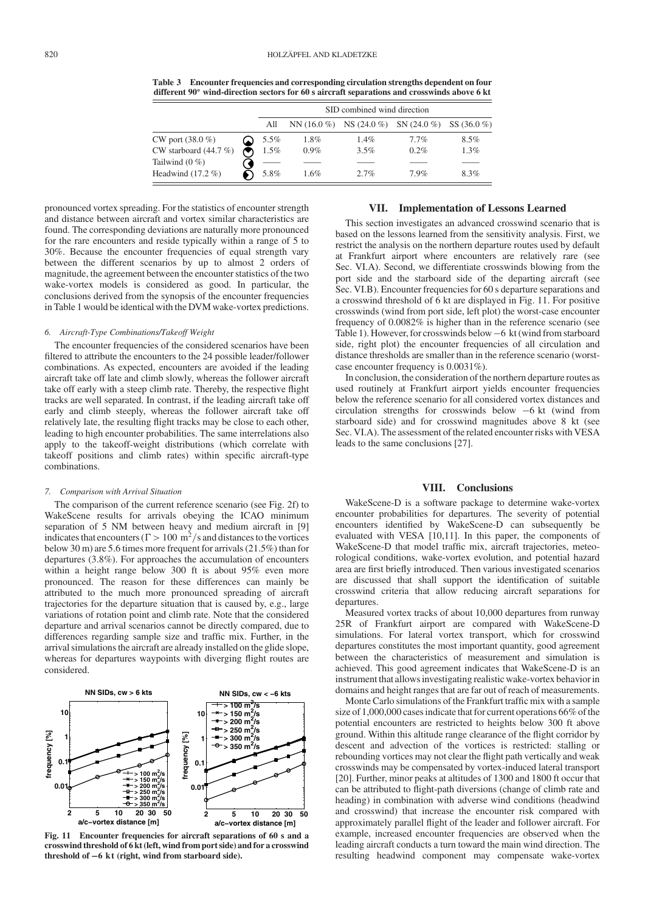Table 3 Encounter frequencies and corresponding circulation strengths dependent on four different 90° wind-direction sectors for 60 s aircraft separations and crosswinds above 6 kt

|                         | SID combined wind direction |         |         |                                                         |         |  |  |  |  |
|-------------------------|-----------------------------|---------|---------|---------------------------------------------------------|---------|--|--|--|--|
|                         | All                         |         |         | NN $(16.0\%)$ NS $(24.0\%)$ SN $(24.0\%)$ SS $(36.0\%)$ |         |  |  |  |  |
| CW port $(38.0\% )$     | 5.5%                        | 1.8%    | 1.4%    | $7.7\%$                                                 | 8.5%    |  |  |  |  |
| CW starboard $(44.7\%)$ | $1.5\%$                     | $0.9\%$ | $3.5\%$ | $0.2\%$                                                 | $1.3\%$ |  |  |  |  |
| Tailwind $(0 \%)$       |                             |         |         |                                                         |         |  |  |  |  |
| Headwind $(17.2\%)$     | 5.8%                        | 1.6%    | 2.7%    | 7.9%                                                    | 8.3%    |  |  |  |  |

pronounced vortex spreading. For the statistics of encounter strength and distance between aircraft and vortex similar characteristics are found. The corresponding deviations are naturally more pronounced for the rare encounters and reside typically within a range of 5 to 30%. Because the encounter frequencies of equal strength vary between the different scenarios by up to almost 2 orders of magnitude, the agreement between the encounter statistics of the two wake-vortex models is considered as good. In particular, the conclusions derived from the synopsis of the encounter frequencies in Table 1 would be identical with the DVM wake-vortex predictions.

#### 6. Aircraft-Type Combinations/Takeoff Weight

The encounter frequencies of the considered scenarios have been filtered to attribute the encounters to the 24 possible leader/follower combinations. As expected, encounters are avoided if the leading aircraft take off late and climb slowly, whereas the follower aircraft take off early with a steep climb rate. Thereby, the respective flight tracks are well separated. In contrast, if the leading aircraft take off early and climb steeply, whereas the follower aircraft take off relatively late, the resulting flight tracks may be close to each other, leading to high encounter probabilities. The same interrelations also apply to the takeoff-weight distributions (which correlate with takeoff positions and climb rates) within specific aircraft-type combinations.

## 7. Comparison with Arrival Situation

The comparison of the current reference scenario (see Fig. 2f) to WakeScene results for arrivals obeying the ICAO minimum separation of 5 NM between heavy and medium aircraft in [9] indicates that encounters ( $\Gamma > 100 \text{ m}^2/\text{s}$  and distances to the vortices below 30 m) are 5.6 times more frequent for arrivals (21.5%) than for departures (3.8%). For approaches the accumulation of encounters within a height range below 300 ft is about 95% even more pronounced. The reason for these differences can mainly be attributed to the much more pronounced spreading of aircraft trajectories for the departure situation that is caused by, e.g., large variations of rotation point and climb rate. Note that the considered departure and arrival scenarios cannot be directly compared, due to differences regarding sample size and traffic mix. Further, in the arrival simulations the aircraft are already installed on the glide slope, whereas for departures waypoints with diverging flight routes are considered.



Fig. 11 Encounter frequencies for aircraft separations of 60 s and a crosswind threshold of 6 kt (left, wind from port side) and for a crosswind threshold of  $-6$  kt (right, wind from starboard side).

## VII. Implementation of Lessons Learned

This section investigates an advanced crosswind scenario that is based on the lessons learned from the sensitivity analysis. First, we restrict the analysis on the northern departure routes used by default at Frankfurt airport where encounters are relatively rare (see Sec. VI.A). Second, we differentiate crosswinds blowing from the port side and the starboard side of the departing aircraft (see Sec. VI.B). Encounter frequencies for 60 s departure separations and a crosswind threshold of 6 kt are displayed in Fig. 11. For positive crosswinds (wind from port side, left plot) the worst-case encounter frequency of 0.0082% is higher than in the reference scenario (see Table 1). However, for crosswinds below  $-6$  kt (wind from starboard side, right plot) the encounter frequencies of all circulation and distance thresholds are smaller than in the reference scenario (worstcase encounter frequency is 0.0031%).

In conclusion, the consideration of the northern departure routes as used routinely at Frankfurt airport yields encounter frequencies below the reference scenario for all considered vortex distances and circulation strengths for crosswinds below  $-6$  kt (wind from starboard side) and for crosswind magnitudes above 8 kt (see Sec. VI.A). The assessment of the related encounter risks with VESA leads to the same conclusions [27].

#### VIII. Conclusions

WakeScene-D is a software package to determine wake-vortex encounter probabilities for departures. The severity of potential encounters identified by WakeScene-D can subsequently be evaluated with VESA [10,11]. In this paper, the components of WakeScene-D that model traffic mix, aircraft trajectories, meteorological conditions, wake-vortex evolution, and potential hazard area are first briefly introduced. Then various investigated scenarios are discussed that shall support the identification of suitable crosswind criteria that allow reducing aircraft separations for departures.

Measured vortex tracks of about 10,000 departures from runway 25R of Frankfurt airport are compared with WakeScene-D simulations. For lateral vortex transport, which for crosswind departures constitutes the most important quantity, good agreement between the characteristics of measurement and simulation is achieved. This good agreement indicates that WakeScene-D is an instrument that allows investigating realistic wake-vortex behavior in domains and height ranges that are far out of reach of measurements.

Monte Carlo simulations of the Frankfurt traffic mix with a sample size of 1,000,000 cases indicate that for current operations 66% of the potential encounters are restricted to heights below 300 ft above ground. Within this altitude range clearance of the flight corridor by descent and advection of the vortices is restricted: stalling or rebounding vortices may not clear the flight path vertically and weak crosswinds may be compensated by vortex-induced lateral transport [20]. Further, minor peaks at altitudes of 1300 and 1800 ft occur that can be attributed to flight-path diversions (change of climb rate and heading) in combination with adverse wind conditions (headwind and crosswind) that increase the encounter risk compared with approximately parallel flight of the leader and follower aircraft. For example, increased encounter frequencies are observed when the leading aircraft conducts a turn toward the main wind direction. The resulting headwind component may compensate wake-vortex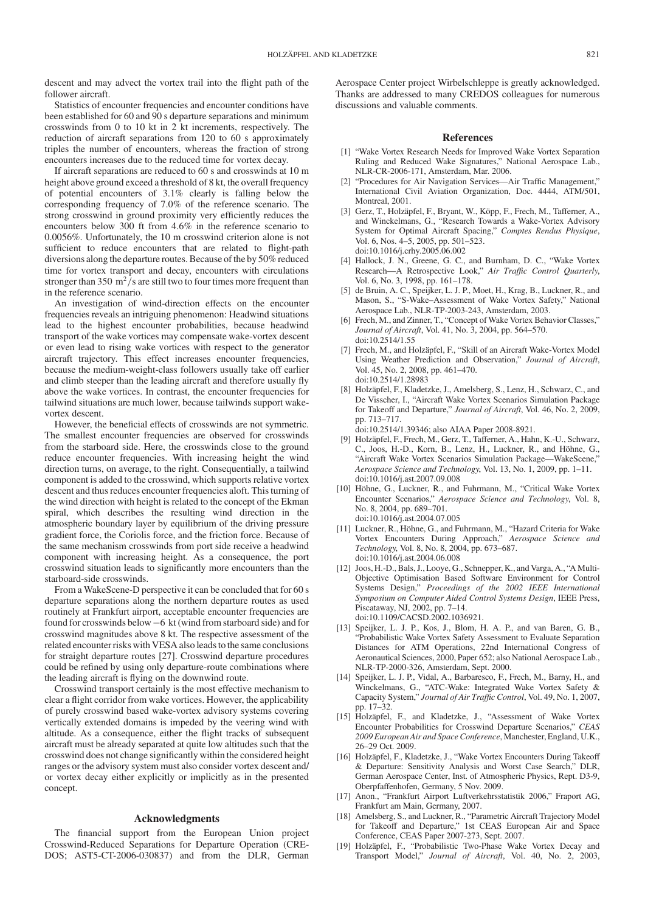descent and may advect the vortex trail into the flight path of the follower aircraft.

Statistics of encounter frequencies and encounter conditions have been established for 60 and 90 s departure separations and minimum crosswinds from 0 to 10 kt in 2 kt increments, respectively. The reduction of aircraft separations from 120 to 60 s approximately triples the number of encounters, whereas the fraction of strong encounters increases due to the reduced time for vortex decay.

If aircraft separations are reduced to 60 s and crosswinds at 10 m height above ground exceed a threshold of 8 kt, the overall frequency of potential encounters of 3.1% clearly is falling below the corresponding frequency of 7.0% of the reference scenario. The strong crosswind in ground proximity very efficiently reduces the encounters below 300 ft from 4.6% in the reference scenario to 0.0056%. Unfortunately, the 10 m crosswind criterion alone is not sufficient to reduce encounters that are related to flight-path diversions along the departure routes. Because of the by 50% reduced time for vortex transport and decay, encounters with circulations stronger than 350  $\mathrm{m}^2/\mathrm{s}$  are still two to four times more frequent than in the reference scenario.

An investigation of wind-direction effects on the encounter frequencies reveals an intriguing phenomenon: Headwind situations lead to the highest encounter probabilities, because headwind transport of the wake vortices may compensate wake-vortex descent or even lead to rising wake vortices with respect to the generator aircraft trajectory. This effect increases encounter frequencies, because the medium-weight-class followers usually take off earlier and climb steeper than the leading aircraft and therefore usually fly above the wake vortices. In contrast, the encounter frequencies for tailwind situations are much lower, because tailwinds support wakevortex descent.

However, the beneficial effects of crosswinds are not symmetric. The smallest encounter frequencies are observed for crosswinds from the starboard side. Here, the crosswinds close to the ground reduce encounter frequencies. With increasing height the wind direction turns, on average, to the right. Consequentially, a tailwind component is added to the crosswind, which supports relative vortex descent and thus reduces encounter frequencies aloft. This turning of the wind direction with height is related to the concept of the Ekman spiral, which describes the resulting wind direction in the atmospheric boundary layer by equilibrium of the driving pressure gradient force, the Coriolis force, and the friction force. Because of the same mechanism crosswinds from port side receive a headwind component with increasing height. As a consequence, the port crosswind situation leads to significantly more encounters than the starboard-side crosswinds.

From a WakeScene-D perspective it can be concluded that for 60 s departure separations along the northern departure routes as used routinely at Frankfurt airport, acceptable encounter frequencies are found for crosswinds below  $-6$  kt (wind from starboard side) and for crosswind magnitudes above 8 kt. The respective assessment of the related encounter risks with VESA also leads to the same conclusions for straight departure routes [27]. Crosswind departure procedures could be refined by using only departure-route combinations where the leading aircraft is flying on the downwind route.

Crosswind transport certainly is the most effective mechanism to clear a flight corridor from wake vortices. However, the applicability of purely crosswind based wake-vortex advisory systems covering vertically extended domains is impeded by the veering wind with altitude. As a consequence, either the flight tracks of subsequent aircraft must be already separated at quite low altitudes such that the crosswind does not change significantly within the considered height ranges or the advisory system must also consider vortex descent and/ or vortex decay either explicitly or implicitly as in the presented concept.

#### Acknowledgments

The financial support from the European Union project Crosswind-Reduced Separations for Departure Operation (CRE-DOS; AST5-CT-2006-030837) and from the DLR, German

Aerospace Center project Wirbelschleppe is greatly acknowledged. Thanks are addressed to many CREDOS colleagues for numerous discussions and valuable comments.

## References

- [1] "Wake Vortex Research Needs for Improved Wake Vortex Separation Ruling and Reduced Wake Signatures," National Aerospace Lab., NLR-CR-2006-171, Amsterdam, Mar. 2006.
- [2] "Procedures for Air Navigation Services—Air Traffic Management," International Civil Aviation Organization, Doc. 4444, ATM/501, Montreal, 2001.
- [3] Gerz, T., Holzäpfel, F., Bryant, W., Köpp, F., Frech, M., Tafferner, A., and Winckelmans, G., "Research Towards a Wake-Vortex Advisory System for Optimal Aircraft Spacing," Comptes Rendus Physique, Vol. 6, Nos. 4–5, 2005, pp. 501–523. doi:10.1016/j.crhy.2005.06.002
- [4] Hallock, J. N., Greene, G. C., and Burnham, D. C., "Wake Vortex Research—A Retrospective Look," Air Traffic Control Quarterly, Vol. 6, No. 3, 1998, pp. 161–178.
- [5] de Bruin, A. C., Speijker, L. J. P., Moet, H., Krag, B., Luckner, R., and Mason, S., "S-Wake–Assessment of Wake Vortex Safety," National Aerospace Lab., NLR-TP-2003-243, Amsterdam, 2003.
- [6] Frech, M., and Zinner, T., "Concept of Wake Vortex Behavior Classes," Journal of Aircraft, Vol. 41, No. 3, 2004, pp. 564–570. doi:10.2514/1.55
- [7] Frech, M., and Holzäpfel, F., "Skill of an Aircraft Wake-Vortex Model Using Weather Prediction and Observation," Journal of Aircraft, Vol. 45, No. 2, 2008, pp. 461–470. doi:10.2514/1.28983
- [8] Holzäpfel, F., Kladetzke, J., Amelsberg, S., Lenz, H., Schwarz, C., and De Visscher, I., "Aircraft Wake Vortex Scenarios Simulation Package for Takeoff and Departure," Journal of Aircraft, Vol. 46, No. 2, 2009, pp. 713–717.
	- doi:10.2514/1.39346; also AIAA Paper 2008-8921.
- [9] Holzäpfel, F., Frech, M., Gerz, T., Tafferner, A., Hahn, K.-U., Schwarz, C., Joos, H.-D., Korn, B., Lenz, H., Luckner, R., and Höhne, G., "Aircraft Wake Vortex Scenarios Simulation Package—WakeScene," Aerospace Science and Technology, Vol. 13, No. 1, 2009, pp. 1–11. doi:10.1016/j.ast.2007.09.008
- [10] Höhne, G., Luckner, R., and Fuhrmann, M., "Critical Wake Vortex Encounter Scenarios," Aerospace Science and Technology, Vol. 8, No. 8, 2004, pp. 689–701. doi:10.1016/j.ast.2004.07.005
- [11] Luckner, R., Höhne, G., and Fuhrmann, M., "Hazard Criteria for Wake Vortex Encounters During Approach," Aerospace Science and Technology, Vol. 8, No. 8, 2004, pp. 673–687. doi:10.1016/j.ast.2004.06.008
- [12] Joos, H.-D., Bals, J., Looye, G., Schnepper, K., and Varga, A., "A Multi-Objective Optimisation Based Software Environment for Control Systems Design," Proceedings of the 2002 IEEE International Symposium on Computer Aided Control Systems Design, IEEE Press, Piscataway, NJ, 2002, pp. 7–14. doi:10.1109/CACSD.2002.1036921.
- [13] Speijker, L. J. P., Kos, J., Blom, H. A. P., and van Baren, G. B., "Probabilistic Wake Vortex Safety Assessment to Evaluate Separation Distances for ATM Operations, 22nd International Congress of Aeronautical Sciences, 2000, Paper 652; also National Aerospace Lab., NLR-TP-2000-326, Amsterdam, Sept. 2000.
- [14] Speijker, L. J. P., Vidal, A., Barbaresco, F., Frech, M., Barny, H., and Winckelmans, G., "ATC-Wake: Integrated Wake Vortex Safety & Capacity System," Journal of Air Traffic Control, Vol. 49, No. 1, 2007, pp. 17–32.
- [15] Holzäpfel, F., and Kladetzke, J., "Assessment of Wake Vortex Encounter Probabilities for Crosswind Departure Scenarios," CEAS 2009 European Air and Space Conference, Manchester, England, U.K., 26–29 Oct. 2009.
- [16] Holzäpfel, F., Kladetzke, J., "Wake Vortex Encounters During Takeoff & Departure: Sensitivity Analysis and Worst Case Search," DLR, German Aerospace Center, Inst. of Atmospheric Physics, Rept. D3-9, Oberpfaffenhofen, Germany, 5 Nov. 2009.
- [17] Anon., "Frankfurt Airport Luftverkehrsstatistik 2006," Fraport AG, Frankfurt am Main, Germany, 2007.
- [18] Amelsberg, S., and Luckner, R., "Parametric Aircraft Trajectory Model for Takeoff and Departure," 1st CEAS European Air and Space Conference, CEAS Paper 2007-273, Sept. 2007.
- [19] Holzäpfel, F., "Probabilistic Two-Phase Wake Vortex Decay and Transport Model," Journal of Aircraft, Vol. 40, No. 2, 2003,